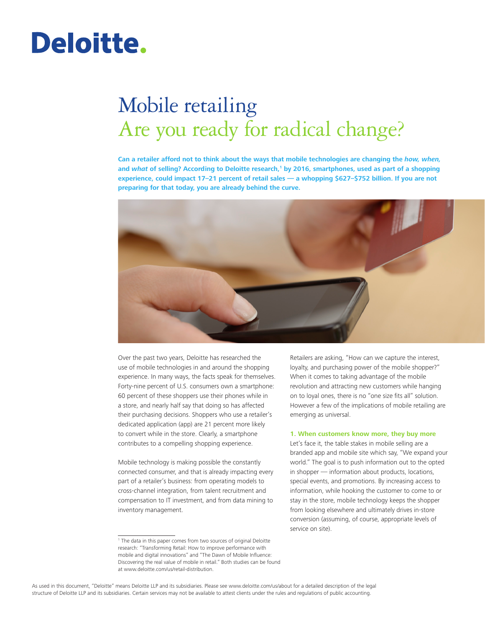# Deloitte.

# Mobile retailing Are you ready for radical change?

**Can a retailer afford not to think about the ways that mobile technologies are changing the** *how, when,* and *what* of selling? According to Deloitte research,<sup>1</sup> by 2016, smartphones, used as part of a shopping **experience, could impact 17–21 percent of retail sales — a whopping \$627–\$752 billion. If you are not preparing for that today, you are already behind the curve.**



Over the past two years, Deloitte has researched the use of mobile technologies in and around the shopping experience. In many ways, the facts speak for themselves. Forty-nine percent of U.S. consumers own a smartphone: 60 percent of these shoppers use their phones while in a store, and nearly half say that doing so has affected their purchasing decisions. Shoppers who use a retailer's dedicated application (app) are 21 percent more likely to convert while in the store. Clearly, a smartphone contributes to a compelling shopping experience.

Mobile technology is making possible the constantly connected consumer, and that is already impacting every part of a retailer's business: from operating models to cross-channel integration, from talent recruitment and compensation to IT investment, and from data mining to inventory management.

Retailers are asking, "How can we capture the interest, loyalty, and purchasing power of the mobile shopper?" When it comes to taking advantage of the mobile revolution and attracting new customers while hanging on to loyal ones, there is no "one size fits all" solution. However a few of the implications of mobile retailing are emerging as universal.

#### **1. When customers know more, they buy more**

Let's face it, the table stakes in mobile selling are a branded app and mobile site which say, "We expand your world." The goal is to push information out to the opted in shopper — information about products, locations, special events, and promotions. By increasing access to information, while hooking the customer to come to or stay in the store, mobile technology keeps the shopper from looking elsewhere and ultimately drives in-store conversion (assuming, of course, appropriate levels of service on site).

<sup>1</sup> The data in this paper comes from two sources of original Deloitte research: "Transforming Retail: How to improve performance with mobile and digital innovations" and "The Dawn of Mobile Influence: Discovering the real value of mobile in retail." Both studies can be found at www.deloitte.com/us/retail-distribution.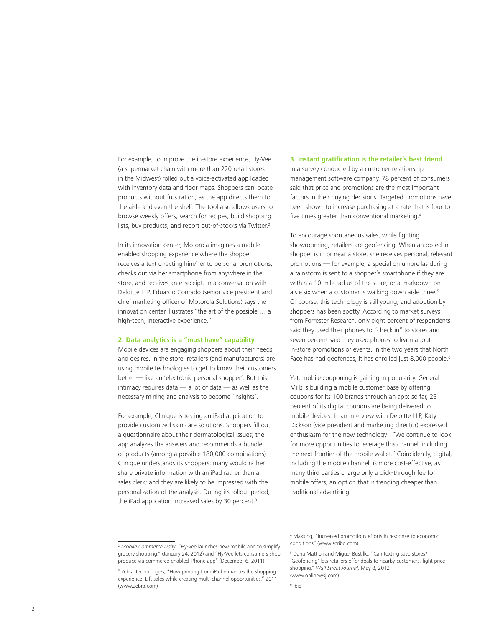For example, to improve the in-store experience, Hy-Vee (a supermarket chain with more than 220 retail stores in the Midwest) rolled out a voice-activated app loaded with inventory data and floor maps. Shoppers can locate products without frustration, as the app directs them to the aisle and even the shelf. The tool also allows users to browse weekly offers, search for recipes, build shopping lists, buy products, and report out-of-stocks via Twitter.<sup>2</sup>

In its innovation center, Motorola imagines a mobileenabled shopping experience where the shopper receives a text directing him/her to personal promotions, checks out via her smartphone from anywhere in the store, and receives an e-receipt. In a conversation with Deloitte LLP, Eduardo Conrado (senior vice president and chief marketing officer of Motorola Solutions) says the innovation center illustrates "the art of the possible … a high-tech, interactive experience."

#### **2. Data analytics is a "must have" capability**

Mobile devices are engaging shoppers about their needs and desires. In the store, retailers (and manufacturers) are using mobile technologies to get to know their customers better — like an 'electronic personal shopper'. But this intimacy requires data — a lot of data — as well as the necessary mining and analysis to become 'insights'.

For example, Clinique is testing an iPad application to provide customized skin care solutions. Shoppers fill out a questionnaire about their dermatological issues; the app analyzes the answers and recommends a bundle of products (among a possible 180,000 combinations). Clinique understands its shoppers: many would rather share private information with an iPad rather than a sales clerk; and they are likely to be impressed with the personalization of the analysis. During its rollout period, the iPad application increased sales by 30 percent.<sup>3</sup>

# **3. Instant gratification is the retailer's best friend** In a survey conducted by a customer relationship management software company, 78 percent of consumers said that price and promotions are the most important factors in their buying decisions. Targeted promotions have been shown to increase purchasing at a rate that is four to five times greater than conventional marketing.4

To encourage spontaneous sales, while fighting showrooming, retailers are geofencing. When an opted in shopper is in or near a store, she receives personal, relevant promotions — for example, a special on umbrellas during a rainstorm is sent to a shopper's smartphone if they are within a 10-mile radius of the store, or a markdown on aisle six when a customer is walking down aisle three.<sup>5</sup> Of course, this technology is still young, and adoption by shoppers has been spotty. According to market surveys from Forrester Research, only eight percent of respondents said they used their phones to "check in" to stores and seven percent said they used phones to learn about in-store promotions or events. In the two years that North Face has had geofences, it has enrolled just 8,000 people.<sup>6</sup>

Yet, mobile couponing is gaining in popularity. General Mills is building a mobile customer base by offering coupons for its 100 brands through an app: so far, 25 percent of its digital coupons are being delivered to mobile devices. In an interview with Deloitte LLP, Katy Dickson (vice president and marketing director) expressed enthusiasm for the new technology: "We continue to look for more opportunities to leverage this channel, including the next frontier of the mobile wallet." Coincidently, digital, including the mobile channel, is more cost-effective, as many third parties charge only a click-through fee for mobile offers, an option that is trending cheaper than traditional advertising.

<sup>2</sup> *Mobile Commerce Daily*, "Hy-Vee launches new mobile app to simplify grocery shopping," (January 24, 2012) and "Hy-Vee lets consumers shop produce via commerce-enabled iPhone app" (December 6, 2011)

<sup>&</sup>lt;sup>3</sup> Zebra Technologies, "How printing from iPad enhances the shopping experience: Lift sales while creating multi-channel opportunities," 2011 (www.zebra.com)

<sup>4</sup> Maxxing, "Increased promotions efforts in response to economic conditions" (www.scribd.com)

<sup>5</sup> Dana Mattioli and Miguel Bustillo, "Can texting save stores? 'Geofencing' lets retailers offer deals to nearby customers, fight priceshopping," *Wall Street Journal,* May 8, 2012 (www.onlinewsj.com)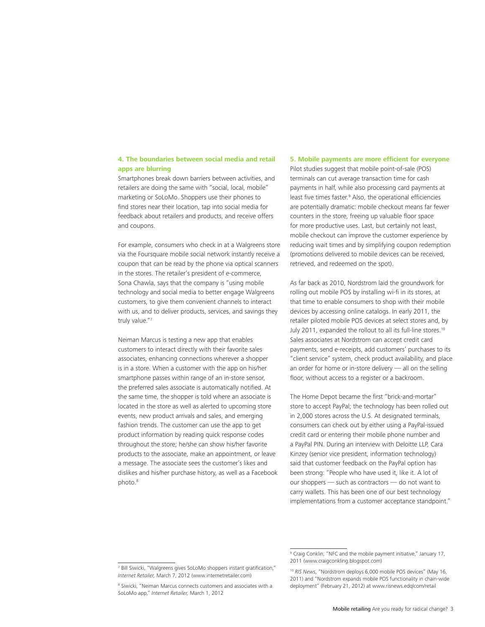#### **4. The boundaries between social media and retail apps are blurring**

Smartphones break down barriers between activities, and retailers are doing the same with "social, local, mobile" marketing or SoLoMo. Shoppers use their phones to find stores near their location, tap into social media for feedback about retailers and products, and receive offers and coupons.

For example, consumers who check in at a Walgreens store via the Foursquare mobile social network instantly receive a coupon that can be read by the phone via optical scanners in the stores. The retailer's president of e-commerce, Sona Chawla, says that the company is "using mobile technology and social media to better engage Walgreens customers, to give them convenient channels to interact with us, and to deliver products, services, and savings they truly value."7

Neiman Marcus is testing a new app that enables customers to interact directly with their favorite sales associates, enhancing connections wherever a shopper is in a store. When a customer with the app on his/her smartphone passes within range of an in-store sensor, the preferred sales associate is automatically notified. At the same time, the shopper is told where an associate is located in the store as well as alerted to upcoming store events, new product arrivals and sales, and emerging fashion trends. The customer can use the app to get product information by reading quick response codes throughout the store; he/she can show his/her favorite products to the associate, make an appointment, or leave a message. The associate sees the customer's likes and dislikes and his/her purchase history, as well as a Facebook photo.8

#### **5. Mobile payments are more efficient for everyone**

Pilot studies suggest that mobile point-of-sale (POS) terminals can cut average transaction time for cash payments in half, while also processing card payments at least five times faster.<sup>9</sup> Also, the operational efficiencies are potentially dramatic: mobile checkout means far fewer counters in the store, freeing up valuable floor space for more productive uses. Last, but certainly not least, mobile checkout can improve the customer experience by reducing wait times and by simplifying coupon redemption (promotions delivered to mobile devices can be received, retrieved, and redeemed on the spot).

As far back as 2010, Nordstrom laid the groundwork for rolling out mobile POS by installing wi-fi in its stores, at that time to enable consumers to shop with their mobile devices by accessing online catalogs. In early 2011, the retailer piloted mobile POS devices at select stores and, by July 2011, expanded the rollout to all its full-line stores.10 Sales associates at Nordstrom can accept credit card payments, send e-receipts, add customers' purchases to its "client service" system, check product availability, and place an order for home or in-store delivery — all on the selling floor, without access to a register or a backroom.

The Home Depot became the first "brick-and-mortar" store to accept PayPal; the technology has been rolled out in 2,000 stores across the U.S. At designated terminals, consumers can check out by either using a PayPal-issued credit card or entering their mobile phone number and a PayPal PIN. During an interview with Deloitte LLP, Cara Kinzey (senior vice president, information technology) said that customer feedback on the PayPal option has been strong: "People who have used it, like it. A lot of our shoppers — such as contractors — do not want to carry wallets. This has been one of our best technology implementations from a customer acceptance standpoint."

<sup>7</sup> Bill Siwicki, "Walgreens gives SoLoMo shoppers instant gratification," *Internet Retailer,* March 7, 2012 (www.internetretailer.com)

<sup>8</sup> Siwicki, "Neiman Marcus connects customers and associates with a SoLoMo app," *Internet Retailer,* March 1, 2012

<sup>&</sup>lt;sup>9</sup> Craig Conklin, "NFC and the mobile payment initiative," January 17, 2011 (www.craigconkling.blogspot.com)

<sup>10</sup> *RIS News*, "Nordstrom deploys 6,000 mobile POS devices" (May 16, 2011) and "Nordstrom expands mobile POS functionality in chain-wide deployment" (February 21, 2012) at www.risnews.edqlcom/retail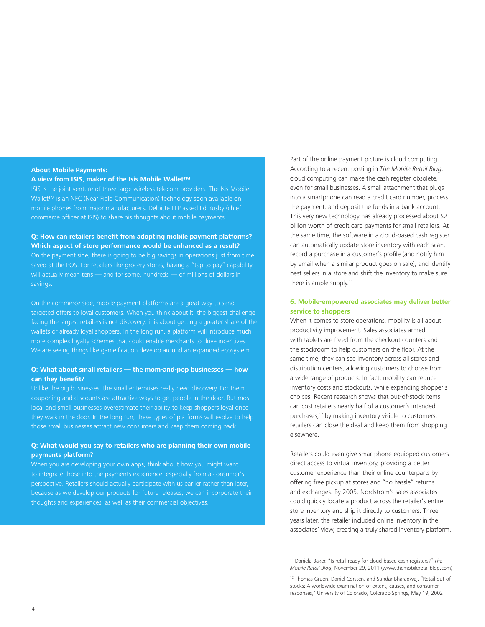#### **About Mobile Payments:**

#### **A view from ISIS, maker of the Isis Mobile Wallet™**

ISIS is the joint venture of three large wireless telecom providers. The Isis Mobile Wallet™ is an NFC (Near Field Communication) technology soon available on mobile phones from major manufacturers. Deloitte LLP asked Ed Busby (chief commerce officer at ISIS) to share his thoughts about mobile payments.

# **Q: How can retailers benefit from adopting mobile payment platforms? Which aspect of store performance would be enhanced as a result?** On the payment side, there is going to be big savings in operations just from time saved at the POS. For retailers like grocery stores, having a "tap to pay" capability will actually mean tens — and for some, hundreds — of millions of dollars in savings.

On the commerce side, mobile payment platforms are a great way to send targeted offers to loyal customers. When you think about it, the biggest challenge facing the largest retailers is not discovery: it is about getting a greater share of the wallets or already loyal shoppers. In the long run, a platform will introduce much more complex loyalty schemes that could enable merchants to drive incentives. We are seeing things like gameification develop around an expanded ecosystem.

#### **Q: What about small retailers — the mom-and-pop businesses — how can they benefit?**

Unlike the big businesses, the small enterprises really need discovery. For them, couponing and discounts are attractive ways to get people in the door. But most local and small businesses overestimate their ability to keep shoppers loyal once they walk in the door. In the long run, these types of platforms will evolve to help those small businesses attract new consumers and keep them coming back.

### **Q: What would you say to retailers who are planning their own mobile payments platform?**

When you are developing your own apps, think about how you might want to integrate those into the payments experience, especially from a consumer's perspective. Retailers should actually participate with us earlier rather than later, because as we develop our products for future releases, we can incorporate their thoughts and experiences, as well as their commercial objectives.

Part of the online payment picture is cloud computing. According to a recent posting in *The Mobile Retail Blog*, cloud computing can make the cash register obsolete, even for small businesses. A small attachment that plugs into a smartphone can read a credit card number, process the payment, and deposit the funds in a bank account. This very new technology has already processed about \$2 billion worth of credit card payments for small retailers. At the same time, the software in a cloud-based cash register can automatically update store inventory with each scan, record a purchase in a customer's profile (and notify him by email when a similar product goes on sale), and identify best sellers in a store and shift the inventory to make sure there is ample supply.<sup>11</sup>

#### **6. Mobile-empowered associates may deliver better service to shoppers**

When it comes to store operations, mobility is all about productivity improvement. Sales associates armed with tablets are freed from the checkout counters and the stockroom to help customers on the floor. At the same time, they can see inventory across all stores and distribution centers, allowing customers to choose from a wide range of products. In fact, mobility can reduce inventory costs and stockouts, while expanding shopper's choices. Recent research shows that out-of-stock items can cost retailers nearly half of a customer's intended purchases;<sup>12</sup> by making inventory visible to customers, retailers can close the deal and keep them from shopping elsewhere.

Retailers could even give smartphone-equipped customers direct access to virtual inventory, providing a better customer experience than their online counterparts by offering free pickup at stores and "no hassle" returns and exchanges. By 2005, Nordstrom's sales associates could quickly locate a product across the retailer's entire store inventory and ship it directly to customers. Three years later, the retailer included online inventory in the associates' view, creating a truly shared inventory platform.

<sup>11</sup> Daniela Baker, "Is retail ready for cloud-based cash registers?" *The Mobile Retail Blog*, November 29, 2011 (www.themobileretailblog.com)

<sup>&</sup>lt;sup>12</sup> Thomas Gruen, Daniel Corsten, and Sundar Bharadwaj, "Retail out-ofstocks: A worldwide examination of extent, causes, and consumer responses," University of Colorado, Colorado Springs, May 19, 2002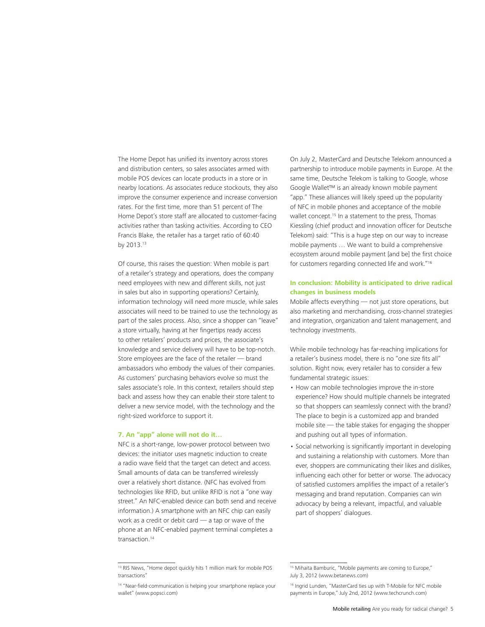The Home Depot has unified its inventory across stores and distribution centers, so sales associates armed with mobile POS devices can locate products in a store or in nearby locations. As associates reduce stockouts, they also improve the consumer experience and increase conversion rates. For the first time, more than 51 percent of The Home Depot's store staff are allocated to customer-facing activities rather than tasking activities. According to CEO Francis Blake, the retailer has a target ratio of 60:40 by 2013.13

Of course, this raises the question: When mobile is part of a retailer's strategy and operations, does the company need employees with new and different skills, not just in sales but also in supporting operations? Certainly, information technology will need more muscle, while sales associates will need to be trained to use the technology as part of the sales process. Also, since a shopper can "leave" a store virtually, having at her fingertips ready access to other retailers' products and prices, the associate's knowledge and service delivery will have to be top-notch. Store employees are the face of the retailer — brand ambassadors who embody the values of their companies. As customers' purchasing behaviors evolve so must the sales associate's role. In this context, retailers should step back and assess how they can enable their store talent to deliver a new service model, with the technology and the right-sized workforce to support it.

#### **7. An "app" alone will not do it…**

NFC is a short-range, low-power protocol between two devices: the initiator uses magnetic induction to create a radio wave field that the target can detect and access. Small amounts of data can be transferred wirelessly over a relatively short distance. (NFC has evolved from technologies like RFID, but unlike RFID is not a "one way street." An NFC-enabled device can both send and receive information.) A smartphone with an NFC chip can easily work as a credit or debit card — a tap or wave of the phone at an NFC-enabled payment terminal completes a transaction.<sup>14</sup>

On July 2, MasterCard and Deutsche Telekom announced a partnership to introduce mobile payments in Europe. At the same time, Deutsche Telekom is talking to Google, whose Google Wallet™ is an already known mobile payment "app." These alliances will likely speed up the popularity of NFC in mobile phones and acceptance of the mobile wallet concept.<sup>15</sup> In a statement to the press, Thomas Kiessling (chief product and innovation officer for Deutsche Telekom) said: "This is a huge step on our way to increase mobile payments … We want to build a comprehensive ecosystem around mobile payment [and be] the first choice for customers regarding connected life and work."16

# **In conclusion: Mobility is anticipated to drive radical changes in business models**

Mobile affects everything — not just store operations, but also marketing and merchandising, cross-channel strategies and integration, organization and talent management, and technology investments.

While mobile technology has far-reaching implications for a retailer's business model, there is no "one size fits all" solution. Right now, every retailer has to consider a few fundamental strategic issues:

- How can mobile technologies improve the in-store experience? How should multiple channels be integrated so that shoppers can seamlessly connect with the brand? The place to begin is a customized app and branded mobile site — the table stakes for engaging the shopper and pushing out all types of information.
- Social networking is significantly important in developing and sustaining a relationship with customers. More than ever, shoppers are communicating their likes and dislikes, influencing each other for better or worse. The advocacy of satisfied customers amplifies the impact of a retailer's messaging and brand reputation. Companies can win advocacy by being a relevant, impactful, and valuable part of shoppers' dialogues.

<sup>&</sup>lt;sup>13</sup> RIS News, "Home depot quickly hits 1 million mark for mobile POS transactions"

<sup>&</sup>lt;sup>14</sup> "Near-field-communication is helping your smartphone replace your wallet" (www.popsci.com)

<sup>&</sup>lt;sup>15</sup> Mihaita Bamburic, "Mobile payments are coming to Europe," July 3, 2012 (www.betanews.com)

<sup>&</sup>lt;sup>16</sup> Ingrid Lunden, "MasterCard ties up with T-Mobile for NFC mobile payments in Europe," July 2nd, 2012 (www.techcrunch.com)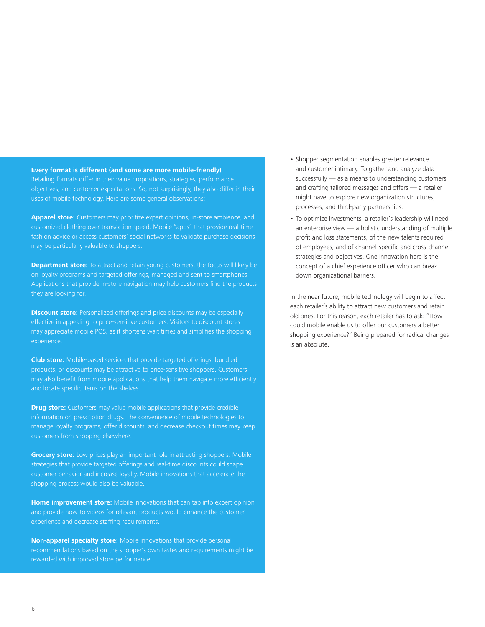#### **Every format is different (and some are more mobile-friendly)**

Retailing formats differ in their value propositions, strategies, performance objectives, and customer expectations. So, not surprisingly, they also differ in their uses of mobile technology. Here are some general observations:

**Apparel store:** Customers may prioritize expert opinions, in-store ambience, and customized clothing over transaction speed. Mobile "apps" that provide real-time fashion advice or access customers' social networks to validate purchase decisions may be particularly valuable to shoppers.

**Department store:** To attract and retain young customers, the focus will likely be on loyalty programs and targeted offerings, managed and sent to smartphones. Applications that provide in-store navigation may help customers find the products they are looking for.

**Discount store:** Personalized offerings and price discounts may be especially effective in appealing to price-sensitive customers. Visitors to discount stores may appreciate mobile POS, as it shortens wait times and simplifies the shopping experience.

**Club store:** Mobile-based services that provide targeted offerings, bundled products, or discounts may be attractive to price-sensitive shoppers. Customers may also benefit from mobile applications that help them navigate more efficiently and locate specific items on the shelves.

**Drug store:** Customers may value mobile applications that provide credible information on prescription drugs. The convenience of mobile technologies to manage loyalty programs, offer discounts, and decrease checkout times may keep customers from shopping elsewhere.

**Grocery store:** Low prices play an important role in attracting shoppers. Mobile strategies that provide targeted offerings and real-time discounts could shape customer behavior and increase loyalty. Mobile innovations that accelerate the shopping process would also be valuable.

**Home improvement store:** Mobile innovations that can tap into expert opinion and provide how-to videos for relevant products would enhance the customer experience and decrease staffing requirements.

**Non-apparel specialty store:** Mobile innovations that provide personal recommendations based on the shopper's own tastes and requirements might be rewarded with improved store performance.

- Shopper segmentation enables greater relevance and customer intimacy. To gather and analyze data successfully — as a means to understanding customers and crafting tailored messages and offers — a retailer might have to explore new organization structures, processes, and third-party partnerships.
- To optimize investments, a retailer's leadership will need an enterprise view — a holistic understanding of multiple profit and loss statements, of the new talents required of employees, and of channel-specific and cross-channel strategies and objectives. One innovation here is the concept of a chief experience officer who can break down organizational barriers.

In the near future, mobile technology will begin to affect each retailer's ability to attract new customers and retain old ones. For this reason, each retailer has to ask: "How could mobile enable us to offer our customers a better shopping experience?" Being prepared for radical changes is an absolute.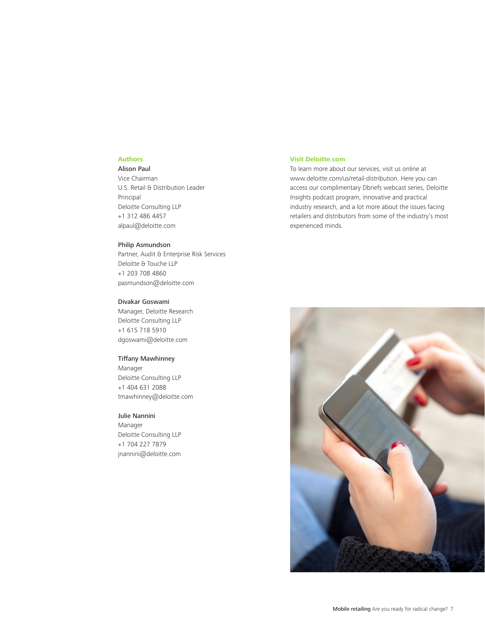### **Authors**

# Alison Paul

Vice Chairman U.S. Retail & Distribution Leader Principal Deloitte Consulting LLP +1 312 486 4457 alpaul@deloitte.com

#### Philip Asmundson

Partner, Audit & Enterprise Risk Services Deloitte & Touche LLP +1 203 708 4860 pasmundson@deloitte.com

### Divakar Goswami

Manager, Deloitte Research Deloitte Consulting LLP +1 615 718 5910 dgoswami@deloitte.com

#### Tiffany Mawhinney

Manager Deloitte Consulting LLP +1 404 631 2088 tmawhinney@deloitte.com

#### Julie Nannini

Manager Deloitte Consulting LLP +1 704 227 7879 jnannini@deloitte.com

#### **Visit Deloitte.com**

To learn more about our services, visit us online at www.deloitte.com/us/retail-distribution. Here you can access our complimentary Dbriefs webcast series, Deloitte Insights podcast program, innovative and practical industry research, and a lot more about the issues facing retailers and distributors from some of the industry's most experienced minds.